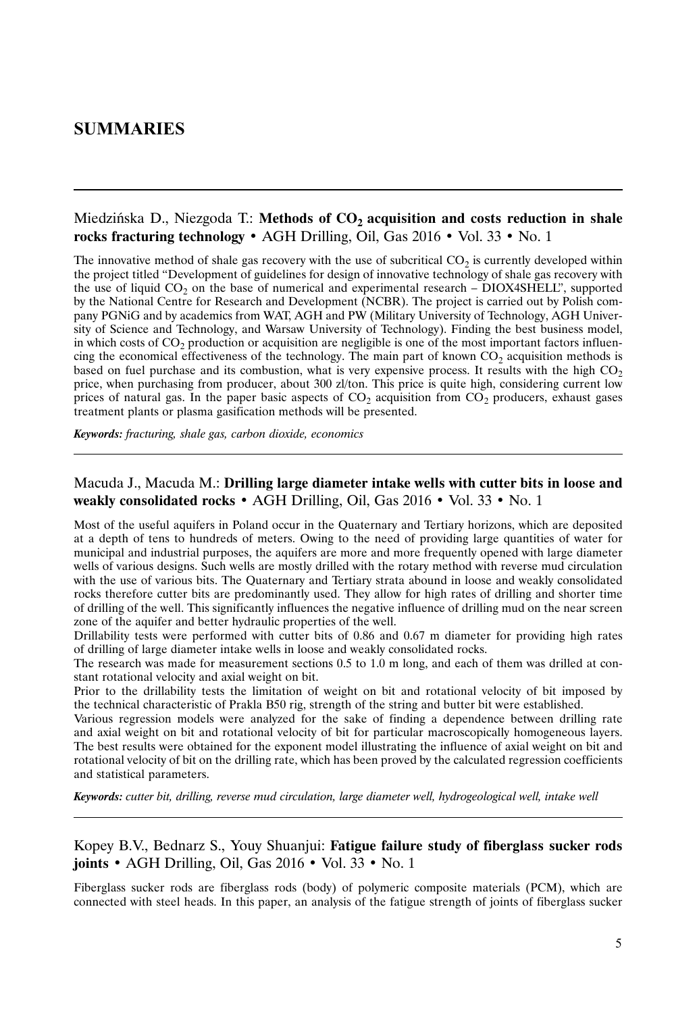# **SUMMARIES**

#### Miedzińska D., Niezgoda T.: Methods of CO<sub>2</sub> acquisition and costs reduction in shale **rocks fracturing technology** • AGH Drilling, Oil, Gas 2016 • Vol. 33 • No. 1

The innovative method of shale gas recovery with the use of subcritical  $CO<sub>2</sub>$  is currently developed within the project titled "Development of guidelines for design of innovative technology of shale gas recovery with the use of liquid  $CO<sub>2</sub>$  on the base of numerical and experimental research – DIOX4SHELL", supported by the National Centre for Research and Development (NCBR). The project is carried out by Polish company PGNiG and by academics from WAT, AGH and PW (Military University of Technology, AGH University of Science and Technology, and Warsaw University of Technology). Finding the best business model, in which costs of  $CO<sub>2</sub>$  production or acquisition are negligible is one of the most important factors influencing the economical effectiveness of the technology. The main part of known  $CO<sub>2</sub>$  acquisition methods is based on fuel purchase and its combustion, what is very expensive process. It results with the high  $CO<sub>2</sub>$ price, when purchasing from producer, about 300 zl/ton. This price is quite high, considering current low prices of natural gas. In the paper basic aspects of  $CO<sub>2</sub>$  acquisition from  $CO<sub>2</sub>$  producers, exhaust gases treatment plants or plasma gasification methods will be presented.

*Keywords: fracturing, shale gas, carbon dioxide, economics*

#### Macuda J., Macuda M.: **Drilling large diameter intake wells with cutter bits in loose and weakly consolidated rocks** • AGH Drilling, Oil, Gas 2016 • Vol. 33 • No. 1

Most of the useful aquifers in Poland occur in the Quaternary and Tertiary horizons, which are deposited at a depth of tens to hundreds of meters. Owing to the need of providing large quantities of water for municipal and industrial purposes, the aquifers are more and more frequently opened with large diameter wells of various designs. Such wells are mostly drilled with the rotary method with reverse mud circulation with the use of various bits. The Quaternary and Tertiary strata abound in loose and weakly consolidated rocks therefore cutter bits are predominantly used. They allow for high rates of drilling and shorter time of drilling of the well. This significantly influences the negative influence of drilling mud on the near screen zone of the aquifer and better hydraulic properties of the well.

Drillability tests were performed with cutter bits of 0.86 and 0.67 m diameter for providing high rates of drilling of large diameter intake wells in loose and weakly consolidated rocks.

The research was made for measurement sections 0.5 to 1.0 m long, and each of them was drilled at constant rotational velocity and axial weight on bit.

Prior to the drillability tests the limitation of weight on bit and rotational velocity of bit imposed by the technical characteristic of Prakla B50 rig, strength of the string and butter bit were established.

Various regression models were analyzed for the sake of finding a dependence between drilling rate and axial weight on bit and rotational velocity of bit for particular macroscopically homogeneous layers. The best results were obtained for the exponent model illustrating the influence of axial weight on bit and rotational velocity of bit on the drilling rate, which has been proved by the calculated regression coefficients and statistical parameters.

*Keywords: cutter bit, drilling, reverse mud circulation, large diameter well, hydrogeological well, intake well*

#### Kopey B.V., Bednarz S., Youy Shuanjui: **Fatigue failure study of fiberglass sucker rods joints** • AGH Drilling, Oil, Gas 2016 • Vol. 33 • No. 1

Fiberglass sucker rods are fiberglass rods (body) of polymeric composite materials (PCM), which are connected with steel heads. In this paper, an analysis of the fatigue strength of joints of fiberglass sucker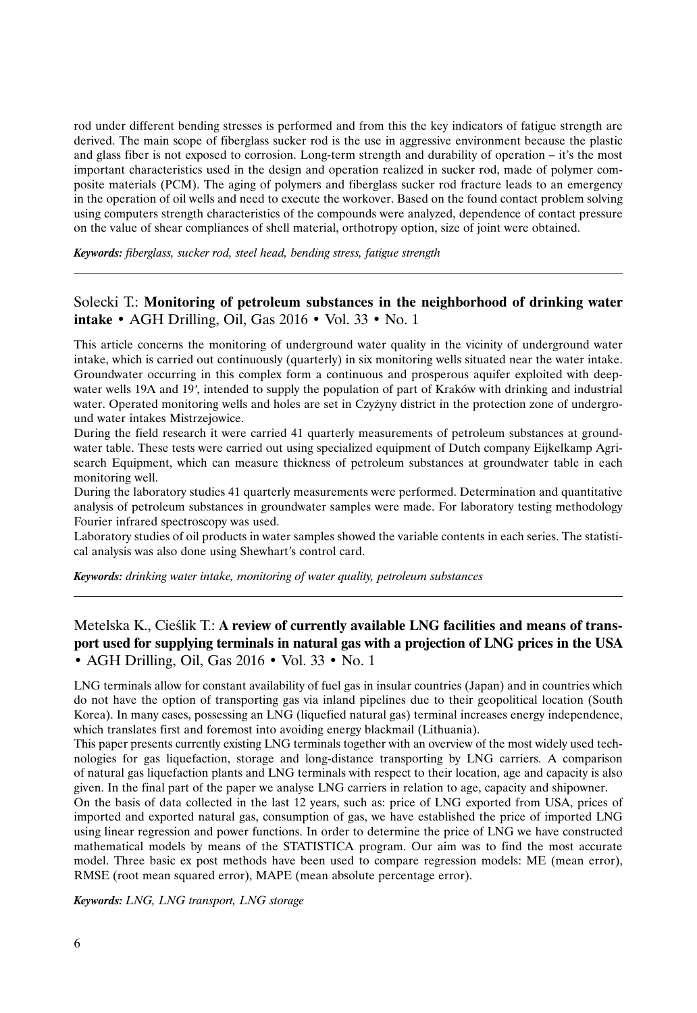rod under different bending stresses is performed and from this the key indicators of fatigue strength are derived. The main scope of fiberglass sucker rod is the use in aggressive environment because the plastic and glass fiber is not exposed to corrosion. Long-term strength and durability of operation – it's the most important characteristics used in the design and operation realized in sucker rod, made of polymer composite materials (PCM). The aging of polymers and fiberglass sucker rod fracture leads to an emergency in the operation of oil wells and need to execute the workover. Based on the found contact problem solving using computers strength characteristics of the compounds were analyzed, dependence of contact pressure on the value of shear compliances of shell material, orthotropy option, size of joint were obtained.

*Keywords: fiberglass, sucker rod, steel head, bending stress, fatigue strength*

### Solecki T.: **Monitoring of petroleum substances in the neighborhood of drinking water intake** • AGH Drilling, Oil, Gas 2016 • Vol. 33 • No. 1

This article concerns the monitoring of underground water quality in the vicinity of underground water intake, which is carried out continuously (quarterly) in six monitoring wells situated near the water intake. Groundwater occurring in this complex form a continuous and prosperous aquifer exploited with deep-Groundwater occurring in this complex form a continuous and prosperous aquifer exploited with deepwater wells 19A and 19', intended to supply the population of part of Kraków with drinking and industrial water. Operated monitoring wells and holes are set in Czyżyny district in the protection zone of underground water intakes Mistrzejowice.

During the field research it were carried 41 quarterly measurements of petroleum substances at groundwater table. These tests were carried out using specialized equipment of Dutch company Eijkelkamp Agrisearch Equipment, which can measure thickness of petroleum substances at groundwater table in each monitoring well.

During the laboratory studies 41 quarterly measurements were performed. Determination and quantitative analysis of petroleum substances in groundwater samples were made. For laboratory testing methodology Fourier infrared spectroscopy was used.

Laboratory studies of oil products in water samples showed the variable contents in each series. The statistical analysis was also done using Shewhart*'*s control card.

*Keywords: drinking water intake, monitoring of water quality, petroleum substances*

# Metelska K., Cieślik T.: **A review of currently available LNG facilities and means of transport used for supplying terminals in natural gas with a projection of LNG prices in the USA** • AGH Drilling, Oil, Gas 2016 • Vol. 33 • No. 1

LNG terminals allow for constant availability of fuel gas in insular countries (Japan) and in countries which do not have the option of transporting gas via inland pipelines due to their geopolitical location (South Korea). In many cases, possessing an LNG (liquefied natural gas) terminal increases energy independence, which translates first and foremost into avoiding energy blackmail (Lithuania).

This paper presents currently existing LNG terminals together with an overview of the most widely used technologies for gas liquefaction, storage and long-distance transporting by LNG carriers. A comparison of natural gas liquefaction plants and LNG terminals with respect to their location, age and capacity is also given. In the final part of the paper we analyse LNG carriers in relation to age, capacity and shipowner.

On the basis of data collected in the last 12 years, such as: price of LNG exported from USA, prices of imported and exported natural gas, consumption of gas, we have established the price of imported LNG using linear regression and power functions. In order to determine the price of LNG we have constructed mathematical models by means of the STATISTICA program. Our aim was to find the most accurate model. Three basic ex post methods have been used to compare regression models: ME (mean error), RMSE (root mean squared error), MAPE (mean absolute percentage error).

*Keywords: LNG, LNG transport, LNG storage*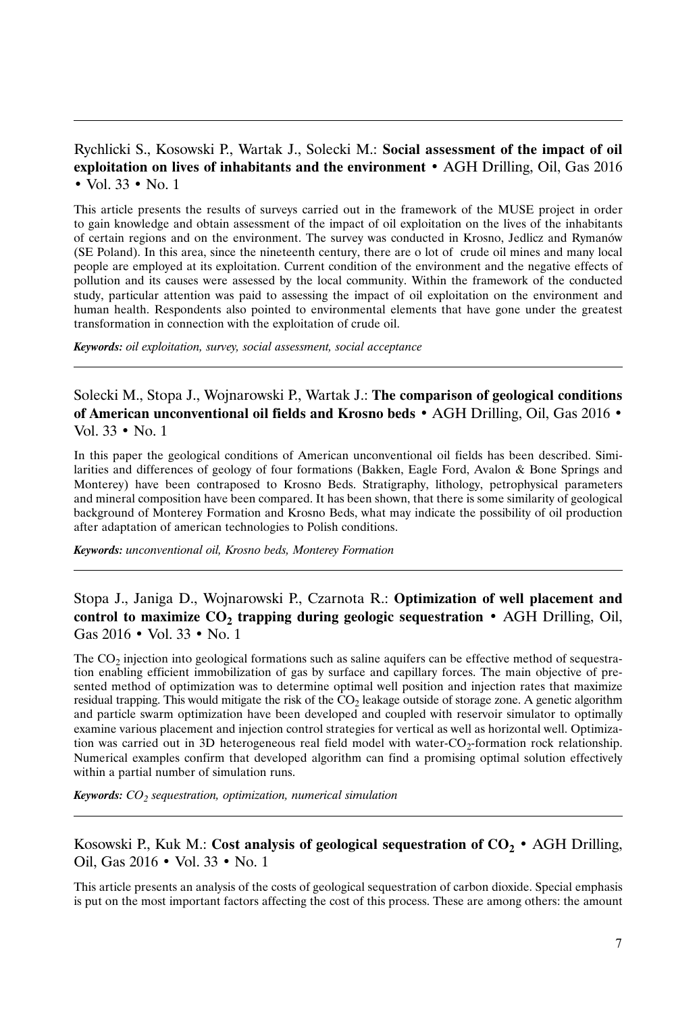# Rychlicki S., Kosowski P., Wartak J., Solecki M.: **Social assessment of the impact of oil exploitation on lives of inhabitants and the environment** • AGH Drilling, Oil, Gas 2016 • Vol. 33 • No. 1

This article presents the results of surveys carried out in the framework of the MUSE project in order to gain knowledge and obtain assessment of the impact of oil exploitation on the lives of the inhabitants of certain regions and on the environment. The survey was conducted in Krosno, Jedlicz and Rymanów (SE Poland). In this area, since the nineteenth century, there are o lot of crude oil mines and many local people are employed at its exploitation. Current condition of the environment and the negative effects of pollution and its causes were assessed by the local community. Within the framework of the conducted study, particular attention was paid to assessing the impact of oil exploitation on the environment and human health. Respondents also pointed to environmental elements that have gone under the greatest transformation in connection with the exploitation of crude oil.

*Keywords: oil exploitation, survey, social assessment, social acceptance*

Solecki M., Stopa J., Wojnarowski P., Wartak J.: **The comparison of geological conditions of American unconventional oil fields and Krosno beds** • AGH Drilling, Oil, Gas 2016 • Vol. 33 • No. 1

In this paper the geological conditions of American unconventional oil fields has been described. Similarities and differences of geology of four formations (Bakken, Eagle Ford, Avalon & Bone Springs and Monterey) have been contraposed to Krosno Beds. Stratigraphy, lithology, petrophysical parameters and mineral composition have been compared. It has been shown, that there is some similarity of geological background of Monterey Formation and Krosno Beds, what may indicate the possibility of oil production after adaptation of american technologies to Polish conditions.

*Keywords: unconventional oil, Krosno beds, Monterey Formation*

# Stopa J., Janiga D., Wojnarowski P., Czarnota R.: **Optimization of well placement and control to maximize**  $CO<sub>2</sub>$  **trapping during geologic sequestration** • AGH Drilling, Oil, Gas 2016 • Vol. 33 • No. 1

The  $CO<sub>2</sub>$  injection into geological formations such as saline aquifers can be effective method of sequestration enabling efficient immobilization of gas by surface and capillary forces. The main objective of presented method of optimization was to determine optimal well position and injection rates that maximize residual trapping. This would mitigate the risk of the  $CO<sub>2</sub>$  leakage outside of storage zone. A genetic algorithm and particle swarm optimization have been developed and coupled with reservoir simulator to optimally examine various placement and injection control strategies for vertical as well as horizontal well. Optimization was carried out in 3D heterogeneous real field model with water- $CO<sub>2</sub>$ -formation rock relationship. Numerical examples confirm that developed algorithm can find a promising optimal solution effectively within a partial number of simulation runs.

*Keywords: CO<sub>2</sub> sequestration, optimization, numerical simulation* 

### Kosowski P., Kuk M.: **Cost analysis of geological sequestration of**  $CO_2 \cdot \text{AGH}$  Drilling, Oil, Gas 2016 • Vol. 33 • No. 1

This article presents an analysis of the costs of geological sequestration of carbon dioxide. Special emphasis is put on the most important factors affecting the cost of this process. These are among others: the amount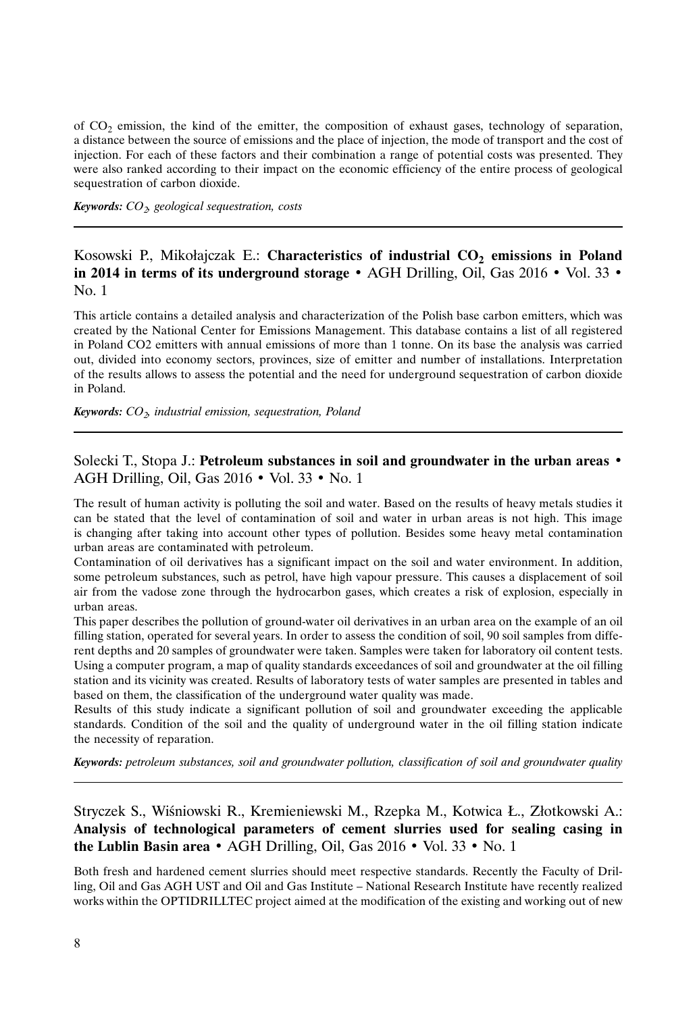of  $CO<sub>2</sub>$  emission, the kind of the emitter, the composition of exhaust gases, technology of separation, a distance between the source of emissions and the place of injection, the mode of transport and the cost of injection. For each of these factors and their combination a range of potential costs was presented. They were also ranked according to their impact on the economic efficiency of the entire process of geological sequestration of carbon dioxide.

*Keywords: CO2, geological sequestration, costs*

# Kosowski P., Mikołajczak E.: Characteristics of industrial CO<sub>2</sub> emissions in Poland **in 2014 in terms of its underground storage** • AGH Drilling, Oil, Gas 2016 • Vol. 33 • No. 1

This article contains a detailed analysis and characterization of the Polish base carbon emitters, which was created by the National Center for Emissions Management. This database contains a list of all registered in Poland CO2 emitters with annual emissions of more than 1 tonne. On its base the analysis was carried out, divided into economy sectors, provinces, size of emitter and number of installations. Interpretation of the results allows to assess the potential and the need for underground sequestration of carbon dioxide in Poland.

*Keywords: CO2, industrial emission, sequestration, Poland*

### Solecki T., Stopa J.: **Petroleum substances in soil and groundwater in the urban areas** • AGH Drilling, Oil, Gas 2016 • Vol. 33 • No. 1

The result of human activity is polluting the soil and water. Based on the results of heavy metals studies it can be stated that the level of contamination of soil and water in urban areas is not high. This image is changing after taking into account other types of pollution. Besides some heavy metal contamination urban areas are contaminated with petroleum.

Contamination of oil derivatives has a significant impact on the soil and water environment. In addition, some petroleum substances, such as petrol, have high vapour pressure. This causes a displacement of soil air from the vadose zone through the hydrocarbon gases, which creates a risk of explosion, especially in urban areas.

This paper describes the pollution of ground-water oil derivatives in an urban area on the example of an oil filling station, operated for several years. In order to assess the condition of soil, 90 soil samples from different depths and 20 samples of groundwater were taken. Samples were taken for laboratory oil content tests. Using a computer program, a map of quality standards exceedances of soil and groundwater at the oil filling station and its vicinity was created. Results of laboratory tests of water samples are presented in tables and based on them, the classification of the underground water quality was made.

Results of this study indicate a significant pollution of soil and groundwater exceeding the applicable standards. Condition of the soil and the quality of underground water in the oil filling station indicate the necessity of reparation.

*Keywords: petroleum substances, soil and groundwater pollution, classification of soil and groundwater quality*

Stryczek S., Wiśniowski R., Kremieniewski M., Rzepka M., Kotwica Ł., Złotkowski A.: **Analysis of technological parameters of cement slurries used for sealing casing in the Lublin Basin area** • AGH Drilling, Oil, Gas 2016 • Vol. 33 • No. 1

Both fresh and hardened cement slurries should meet respective standards. Recently the Faculty of Drilling, Oil and Gas AGH UST and Oil and Gas Institute – National Research Institute have recently realized works within the OPTIDRILLTEC project aimed at the modification of the existing and working out of new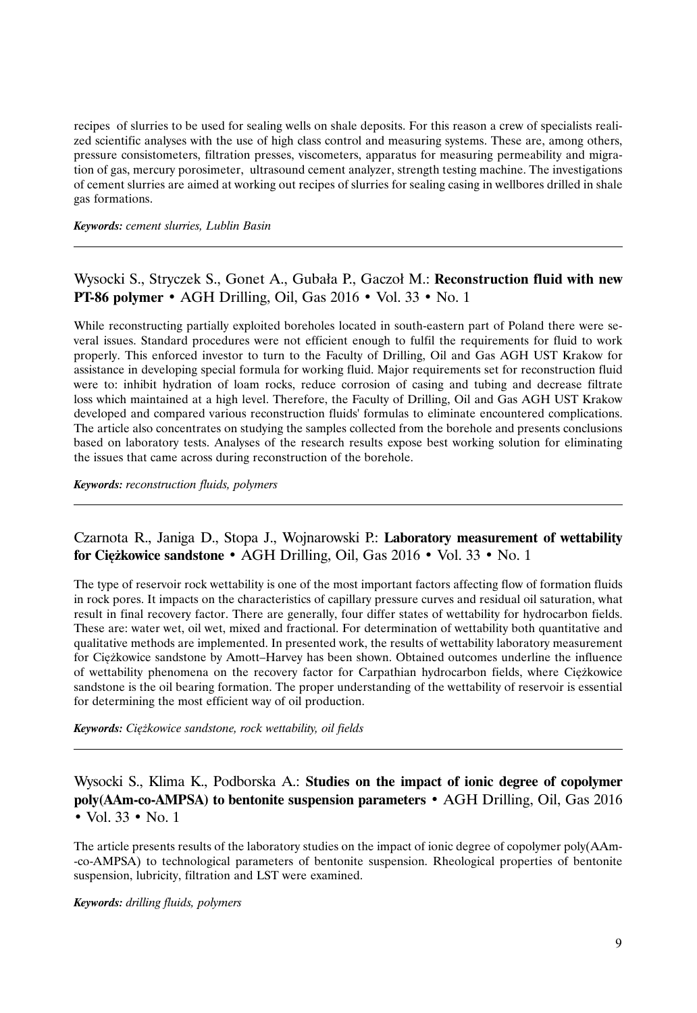recipes of slurries to be used for sealing wells on shale deposits. For this reason a crew of specialists realized scientific analyses with the use of high class control and measuring systems. These are, among others, pressure consistometers, filtration presses, viscometers, apparatus for measuring permeability and migration of gas, mercury porosimeter, ultrasound cement analyzer, strength testing machine. The investigations of cement slurries are aimed at working out recipes of slurries for sealing casing in wellbores drilled in shale gas formations.

*Keywords: cement slurries, Lublin Basin*

## Wysocki S., Stryczek S., Gonet A., Gubała P., Gaczoł M.: **Reconstruction fluid with new PT-86 polymer** • AGH Drilling, Oil, Gas 2016 • Vol. 33 • No. 1

While reconstructing partially exploited boreholes located in south-eastern part of Poland there were several issues. Standard procedures were not efficient enough to fulfil the requirements for fluid to work properly. This enforced investor to turn to the Faculty of Drilling, Oil and Gas AGH UST Krakow for assistance in developing special formula for working fluid. Major requirements set for reconstruction fluid were to: inhibit hydration of loam rocks, reduce corrosion of casing and tubing and decrease filtrate loss which maintained at a high level. Therefore, the Faculty of Drilling, Oil and Gas AGH UST Krakow developed and compared various reconstruction fluids' formulas to eliminate encountered complications. The article also concentrates on studying the samples collected from the borehole and presents conclusions based on laboratory tests. Analyses of the research results expose best working solution for eliminating the issues that came across during reconstruction of the borehole.

*Keywords: reconstruction fluids, polymers*

## Czarnota R., Janiga D., Stopa J., Wojnarowski P.: **Laboratory measurement of wettability for Ciężkowice sandstone** • AGH Drilling, Oil, Gas 2016 • Vol. 33 • No. 1

The type of reservoir rock wettability is one of the most important factors affecting flow of formation fluids in rock pores. It impacts on the characteristics of capillary pressure curves and residual oil saturation, what result in final recovery factor. There are generally, four differ states of wettability for hydrocarbon fields. These are: water wet, oil wet, mixed and fractional. For determination of wettability both quantitative and qualitative methods are implemented. In presented work, the results of wettability laboratory measurement for Ciężkowice sandstone by Amott–Harvey has been shown. Obtained outcomes underline the influence of wettability phenomena on the recovery factor for Carpathian hydrocarbon fields, where Ciężkowice sandstone is the oil bearing formation. The proper understanding of the wettability of reservoir is essential for determining the most efficient way of oil production.

*Keywords: Ciężkowice sandstone, rock wettability, oil fields*

Wysocki S., Klima K., Podborska A.: **Studies on the impact of ionic degree of copolymer poly(AAm-co-AMPSA) to bentonite suspension parameters** • AGH Drilling, Oil, Gas 2016 • Vol. 33 • No. 1

The article presents results of the laboratory studies on the impact of ionic degree of copolymer poly(AAm- -co-AMPSA) to technological parameters of bentonite suspension. Rheological properties of bentonite suspension, lubricity, filtration and LST were examined.

#### *Keywords: drilling fluids, polymers*